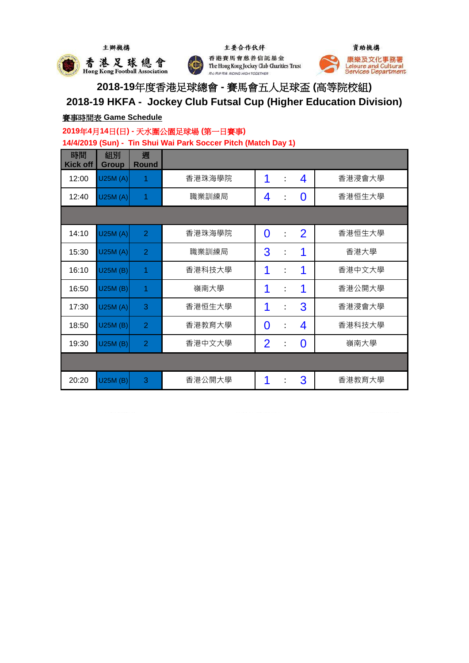



主要合作伙伴 香港賽馬會慈善信託基金 The Hong Kong Jockey Club Charities Trust **RORPRE RIDING HIGH TOGETHER** 



**2018-19**年度香港足球總會 **-** 賽馬會五人足球盃 **(**高等院校組**) 2018-19 HKFA - Jockey Club Futsal Cup (Higher Education Division)**

## 賽事時間表 **Game Schedule**

### **2019**年**4**月**14**日**(**日**) -** 天水圍公園足球場 **(**第一日賽事**)**

**14/4/2019 (Sun) - Tin Shui Wai Park Soccer Pitch (Match Day 1)**

| 時間<br><b>Kick off</b> | 組別<br><b>Group</b> | 週<br><b>Round</b> |        |                |                      |                |        |
|-----------------------|--------------------|-------------------|--------|----------------|----------------------|----------------|--------|
| 12:00                 | U25M(A)            | 1                 | 香港珠海學院 | 1              | $\ddot{\phantom{a}}$ | 4              | 香港浸會大學 |
| 12:40                 | U25M(A)            | 1                 | 職業訓練局  | 4              | $\ddot{\cdot}$       | 0              | 香港恒生大學 |
|                       |                    |                   |        |                |                      |                |        |
| 14:10                 | U25M(A)            | $\overline{2}$    | 香港珠海學院 | $\overline{0}$ | $\ddot{\cdot}$       | $\overline{2}$ | 香港恒生大學 |
| 15:30                 | U25M(A)            | $\overline{2}$    | 職業訓練局  | 3              | $\ddot{\cdot}$       | 1              | 香港大學   |
| 16:10                 | U25M(B)            | 1                 | 香港科技大學 | 1              | $\ddot{\cdot}$       | 1              | 香港中文大學 |
| 16:50                 | U25M (B)           | 1                 | 嶺南大學   | 1              | $\ddot{\cdot}$       | 1              | 香港公開大學 |
| 17:30                 | U25M(A)            | 3                 | 香港恒生大學 | 1              | $\ddot{\cdot}$       | 3              | 香港浸會大學 |
| 18:50                 | U25M (B)           | $\overline{2}$    | 香港教育大學 | $\bf{0}$       | $\ddot{\cdot}$       | 4              | 香港科技大學 |
| 19:30                 | U25M (B)           | $\overline{2}$    | 香港中文大學 | $\overline{2}$ | $\ddot{\cdot}$       | 0              | 嶺南大學   |
|                       |                    |                   |        |                |                      |                |        |
| 20:20                 | U25M (B)           | 3                 | 香港公開大學 | 1              |                      | 3              | 香港教育大學 |